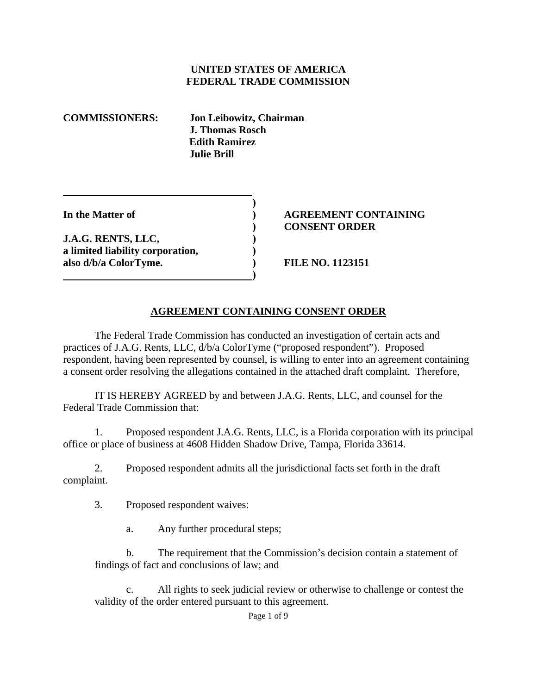### **UNITED STATES OF AMERICA FEDERAL TRADE COMMISSION**

**COMMISSIONERS: Jon Leibowitz, Chairman J. Thomas Rosch Edith Ramirez Julie Brill** 

**J.A.G. RENTS, LLC, ) a limited liability corporation, ) also d/b/a ColorTyme. ) FILE NO. 1123151** 

 **)** 

**1 (a) (b) (b) (b) (b) (b) (c) (d)** 

### **In the Matter of ) AGREEMENT CONTAINING ) CONSENT ORDER**

## **AGREEMENT CONTAINING CONSENT ORDER**

The Federal Trade Commission has conducted an investigation of certain acts and practices of J.A.G. Rents, LLC, d/b/a ColorTyme ("proposed respondent"). Proposed respondent, having been represented by counsel, is willing to enter into an agreement containing a consent order resolving the allegations contained in the attached draft complaint. Therefore,

 IT IS HEREBY AGREED by and between J.A.G. Rents, LLC, and counsel for the Federal Trade Commission that:

1. Proposed respondent J.A.G. Rents, LLC, is a Florida corporation with its principal office or place of business at 4608 Hidden Shadow Drive, Tampa, Florida 33614.

2. Proposed respondent admits all the jurisdictional facts set forth in the draft complaint.

3. Proposed respondent waives:

a. Any further procedural steps;

b. The requirement that the Commission's decision contain a statement of findings of fact and conclusions of law; and

All rights to seek judicial review or otherwise to challenge or contest the validity of the order entered pursuant to this agreement.

Page 1 of 9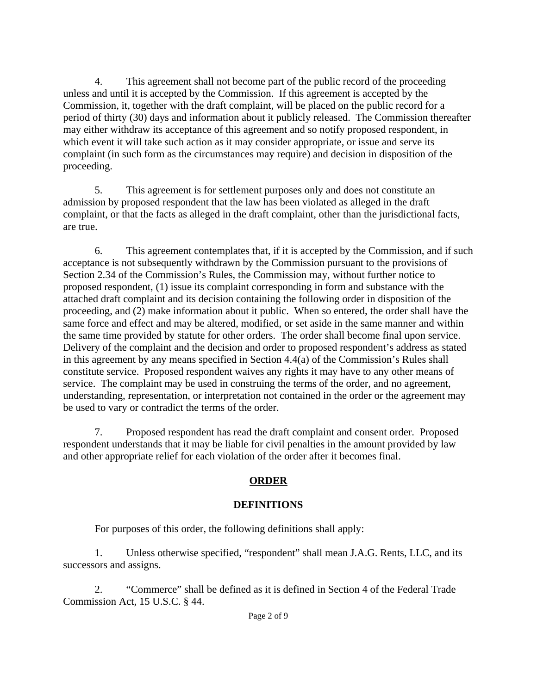4. This agreement shall not become part of the public record of the proceeding unless and until it is accepted by the Commission. If this agreement is accepted by the Commission, it, together with the draft complaint, will be placed on the public record for a period of thirty (30) days and information about it publicly released. The Commission thereafter may either withdraw its acceptance of this agreement and so notify proposed respondent, in which event it will take such action as it may consider appropriate, or issue and serve its complaint (in such form as the circumstances may require) and decision in disposition of the proceeding.

5. This agreement is for settlement purposes only and does not constitute an admission by proposed respondent that the law has been violated as alleged in the draft complaint, or that the facts as alleged in the draft complaint, other than the jurisdictional facts, are true.

6. This agreement contemplates that, if it is accepted by the Commission, and if such acceptance is not subsequently withdrawn by the Commission pursuant to the provisions of Section 2.34 of the Commission's Rules, the Commission may, without further notice to proposed respondent, (1) issue its complaint corresponding in form and substance with the attached draft complaint and its decision containing the following order in disposition of the proceeding, and (2) make information about it public. When so entered, the order shall have the same force and effect and may be altered, modified, or set aside in the same manner and within the same time provided by statute for other orders. The order shall become final upon service. Delivery of the complaint and the decision and order to proposed respondent's address as stated in this agreement by any means specified in Section 4.4(a) of the Commission's Rules shall constitute service. Proposed respondent waives any rights it may have to any other means of service. The complaint may be used in construing the terms of the order, and no agreement, understanding, representation, or interpretation not contained in the order or the agreement may be used to vary or contradict the terms of the order.

7. Proposed respondent has read the draft complaint and consent order. Proposed respondent understands that it may be liable for civil penalties in the amount provided by law and other appropriate relief for each violation of the order after it becomes final.

# **ORDER**

# **DEFINITIONS**

For purposes of this order, the following definitions shall apply:

1. Unless otherwise specified, "respondent" shall mean J.A.G. Rents, LLC, and its successors and assigns.

2. "Commerce" shall be defined as it is defined in Section 4 of the Federal Trade Commission Act, 15 U.S.C. § 44.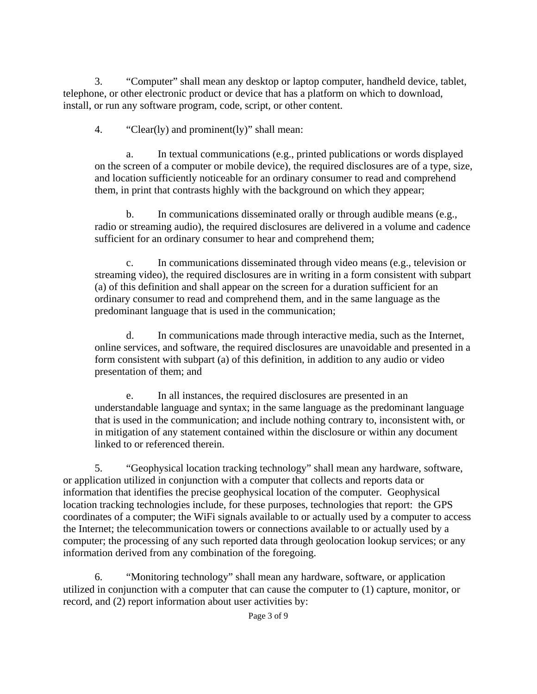3. "Computer" shall mean any desktop or laptop computer, handheld device, tablet, telephone, or other electronic product or device that has a platform on which to download, install, or run any software program, code, script, or other content.

4. "Clear(ly) and prominent(ly)" shall mean:

a. In textual communications (e.g., printed publications or words displayed on the screen of a computer or mobile device), the required disclosures are of a type, size, and location sufficiently noticeable for an ordinary consumer to read and comprehend them, in print that contrasts highly with the background on which they appear;

b. In communications disseminated orally or through audible means (e.g., radio or streaming audio), the required disclosures are delivered in a volume and cadence sufficient for an ordinary consumer to hear and comprehend them;

c. In communications disseminated through video means (e.g., television or streaming video), the required disclosures are in writing in a form consistent with subpart (a) of this definition and shall appear on the screen for a duration sufficient for an ordinary consumer to read and comprehend them, and in the same language as the predominant language that is used in the communication;

d. In communications made through interactive media, such as the Internet, online services, and software, the required disclosures are unavoidable and presented in a form consistent with subpart (a) of this definition, in addition to any audio or video presentation of them; and

e. In all instances, the required disclosures are presented in an understandable language and syntax; in the same language as the predominant language that is used in the communication; and include nothing contrary to, inconsistent with, or in mitigation of any statement contained within the disclosure or within any document linked to or referenced therein.

5. "Geophysical location tracking technology" shall mean any hardware, software, or application utilized in conjunction with a computer that collects and reports data or information that identifies the precise geophysical location of the computer. Geophysical location tracking technologies include, for these purposes, technologies that report: the GPS coordinates of a computer; the WiFi signals available to or actually used by a computer to access the Internet; the telecommunication towers or connections available to or actually used by a computer; the processing of any such reported data through geolocation lookup services; or any information derived from any combination of the foregoing.

6. "Monitoring technology" shall mean any hardware, software, or application utilized in conjunction with a computer that can cause the computer to (1) capture, monitor, or record, and (2) report information about user activities by: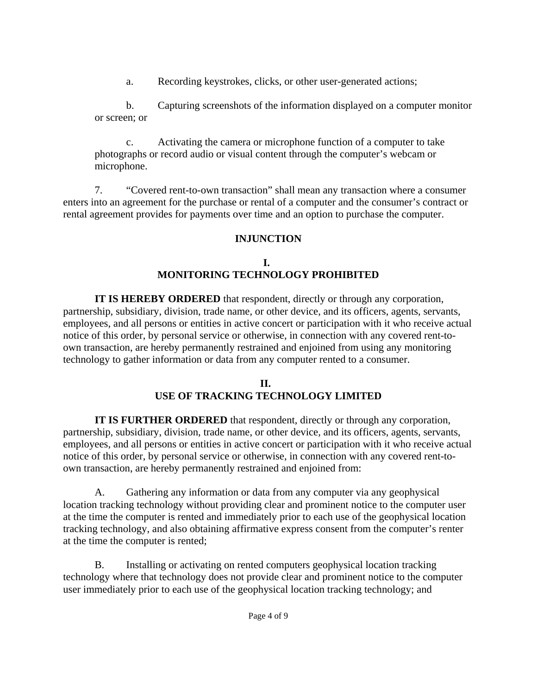a. Recording keystrokes, clicks, or other user-generated actions;

b. Capturing screenshots of the information displayed on a computer monitor or screen; or

c. Activating the camera or microphone function of a computer to take photographs or record audio or visual content through the computer's webcam or microphone.

7. "Covered rent-to-own transaction" shall mean any transaction where a consumer enters into an agreement for the purchase or rental of a computer and the consumer's contract or rental agreement provides for payments over time and an option to purchase the computer.

# **INJUNCTION**

# **I. MONITORING TECHNOLOGY PROHIBITED**

**IT IS HEREBY ORDERED** that respondent, directly or through any corporation, partnership, subsidiary, division, trade name, or other device, and its officers, agents, servants, employees, and all persons or entities in active concert or participation with it who receive actual notice of this order, by personal service or otherwise, in connection with any covered rent-toown transaction, are hereby permanently restrained and enjoined from using any monitoring technology to gather information or data from any computer rented to a consumer.

## **II. USE OF TRACKING TECHNOLOGY LIMITED**

**IT IS FURTHER ORDERED** that respondent, directly or through any corporation, partnership, subsidiary, division, trade name, or other device, and its officers, agents, servants, employees, and all persons or entities in active concert or participation with it who receive actual notice of this order, by personal service or otherwise, in connection with any covered rent-toown transaction, are hereby permanently restrained and enjoined from:

A. Gathering any information or data from any computer via any geophysical location tracking technology without providing clear and prominent notice to the computer user at the time the computer is rented and immediately prior to each use of the geophysical location tracking technology, and also obtaining affirmative express consent from the computer's renter at the time the computer is rented;

B. Installing or activating on rented computers geophysical location tracking technology where that technology does not provide clear and prominent notice to the computer user immediately prior to each use of the geophysical location tracking technology; and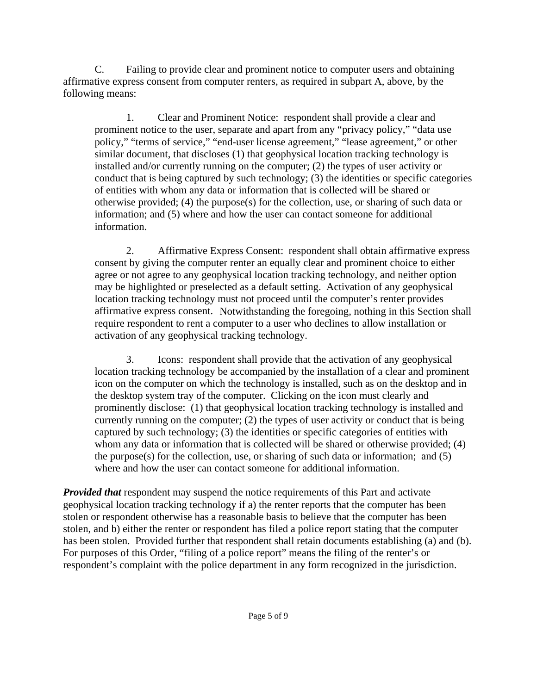C. Failing to provide clear and prominent notice to computer users and obtaining affirmative express consent from computer renters, as required in subpart A, above, by the following means:

1. Clear and Prominent Notice: respondent shall provide a clear and prominent notice to the user, separate and apart from any "privacy policy," "data use policy," "terms of service," "end-user license agreement," "lease agreement," or other similar document, that discloses (1) that geophysical location tracking technology is installed and/or currently running on the computer; (2) the types of user activity or conduct that is being captured by such technology; (3) the identities or specific categories of entities with whom any data or information that is collected will be shared or otherwise provided; (4) the purpose(s) for the collection, use, or sharing of such data or information; and (5) where and how the user can contact someone for additional information.

2. Affirmative Express Consent: respondent shall obtain affirmative express consent by giving the computer renter an equally clear and prominent choice to either agree or not agree to any geophysical location tracking technology, and neither option may be highlighted or preselected as a default setting. Activation of any geophysical location tracking technology must not proceed until the computer's renter provides affirmative express consent. Notwithstanding the foregoing, nothing in this Section shall require respondent to rent a computer to a user who declines to allow installation or activation of any geophysical tracking technology.

3. Icons: respondent shall provide that the activation of any geophysical location tracking technology be accompanied by the installation of a clear and prominent icon on the computer on which the technology is installed, such as on the desktop and in the desktop system tray of the computer. Clicking on the icon must clearly and prominently disclose: (1) that geophysical location tracking technology is installed and currently running on the computer; (2) the types of user activity or conduct that is being captured by such technology; (3) the identities or specific categories of entities with whom any data or information that is collected will be shared or otherwise provided; (4) the purpose(s) for the collection, use, or sharing of such data or information; and (5) where and how the user can contact someone for additional information.

*Provided that* respondent may suspend the notice requirements of this Part and activate geophysical location tracking technology if a) the renter reports that the computer has been stolen or respondent otherwise has a reasonable basis to believe that the computer has been stolen, and b) either the renter or respondent has filed a police report stating that the computer has been stolen. Provided further that respondent shall retain documents establishing (a) and (b). For purposes of this Order, "filing of a police report" means the filing of the renter's or respondent's complaint with the police department in any form recognized in the jurisdiction.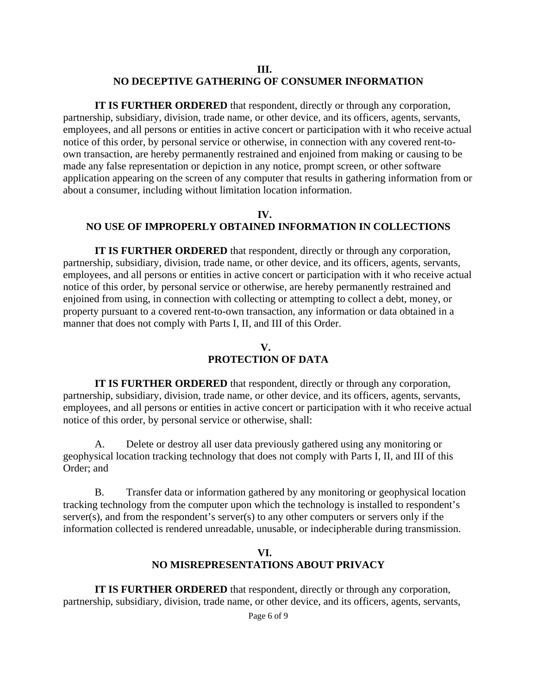### **III. NO DECEPTIVE GATHERING OF CONSUMER INFORMATION**

**IT IS FURTHER ORDERED** that respondent, directly or through any corporation, partnership, subsidiary, division, trade name, or other device, and its officers, agents, servants, employees, and all persons or entities in active concert or participation with it who receive actual notice of this order, by personal service or otherwise, in connection with any covered rent-toown transaction, are hereby permanently restrained and enjoined from making or causing to be made any false representation or depiction in any notice, prompt screen, or other software application appearing on the screen of any computer that results in gathering information from or about a consumer, including without limitation location information.

### **IV. NO USE OF IMPROPERLY OBTAINED INFORMATION IN COLLECTIONS**

**IT IS FURTHER ORDERED** that respondent, directly or through any corporation, partnership, subsidiary, division, trade name, or other device, and its officers, agents, servants, employees, and all persons or entities in active concert or participation with it who receive actual notice of this order, by personal service or otherwise, are hereby permanently restrained and enjoined from using, in connection with collecting or attempting to collect a debt, money, or property pursuant to a covered rent-to-own transaction, any information or data obtained in a manner that does not comply with Parts I, II, and III of this Order.

# **V. PROTECTION OF DATA**

**IT IS FURTHER ORDERED** that respondent, directly or through any corporation, partnership, subsidiary, division, trade name, or other device, and its officers, agents, servants, employees, and all persons or entities in active concert or participation with it who receive actual notice of this order, by personal service or otherwise, shall:

A. Delete or destroy all user data previously gathered using any monitoring or geophysical location tracking technology that does not comply with Parts I, II, and III of this Order; and

B. Transfer data or information gathered by any monitoring or geophysical location tracking technology from the computer upon which the technology is installed to respondent's server(s), and from the respondent's server(s) to any other computers or servers only if the information collected is rendered unreadable, unusable, or indecipherable during transmission.

### **VI. NO MISREPRESENTATIONS ABOUT PRIVACY**

**IT IS FURTHER ORDERED** that respondent, directly or through any corporation, partnership, subsidiary, division, trade name, or other device, and its officers, agents, servants,

Page 6 of 9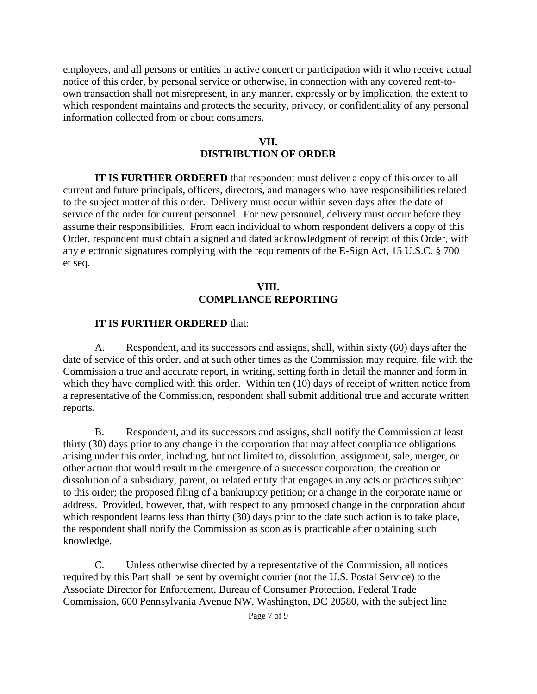employees, and all persons or entities in active concert or participation with it who receive actual notice of this order, by personal service or otherwise, in connection with any covered rent-toown transaction shall not misrepresent, in any manner, expressly or by implication, the extent to which respondent maintains and protects the security, privacy, or confidentiality of any personal information collected from or about consumers.

#### **VII. DISTRIBUTION OF ORDER**

**IT IS FURTHER ORDERED** that respondent must deliver a copy of this order to all current and future principals, officers, directors, and managers who have responsibilities related to the subject matter of this order. Delivery must occur within seven days after the date of service of the order for current personnel. For new personnel, delivery must occur before they assume their responsibilities. From each individual to whom respondent delivers a copy of this Order, respondent must obtain a signed and dated acknowledgment of receipt of this Order, with any electronic signatures complying with the requirements of the E-Sign Act, 15 U.S.C. § 7001 et seq.

### **VIII. COMPLIANCE REPORTING**

### **IT IS FURTHER ORDERED** that:

A. Respondent, and its successors and assigns, shall, within sixty (60) days after the date of service of this order, and at such other times as the Commission may require, file with the Commission a true and accurate report, in writing, setting forth in detail the manner and form in which they have complied with this order. Within ten (10) days of receipt of written notice from a representative of the Commission, respondent shall submit additional true and accurate written reports.

B. Respondent, and its successors and assigns, shall notify the Commission at least thirty (30) days prior to any change in the corporation that may affect compliance obligations arising under this order, including, but not limited to, dissolution, assignment, sale, merger, or other action that would result in the emergence of a successor corporation; the creation or dissolution of a subsidiary, parent, or related entity that engages in any acts or practices subject to this order; the proposed filing of a bankruptcy petition; or a change in the corporate name or address. Provided, however, that, with respect to any proposed change in the corporation about which respondent learns less than thirty (30) days prior to the date such action is to take place, the respondent shall notify the Commission as soon as is practicable after obtaining such knowledge.

C. Unless otherwise directed by a representative of the Commission, all notices required by this Part shall be sent by overnight courier (not the U.S. Postal Service) to the Associate Director for Enforcement, Bureau of Consumer Protection, Federal Trade Commission, 600 Pennsylvania Avenue NW, Washington, DC 20580, with the subject line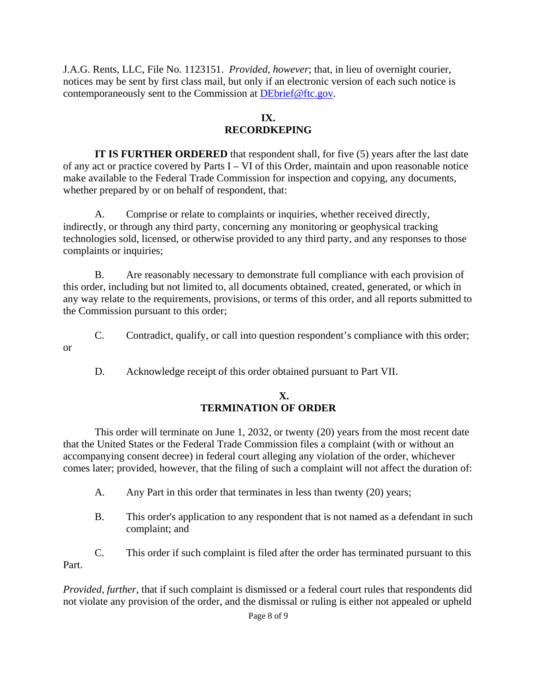J.A.G. Rents, LLC, File No. 1123151. *Provided, however*; that, in lieu of overnight courier, notices may be sent by first class mail, but only if an electronic version of each such notice is contemporaneously sent to the Commission at DEbrief@ftc.gov.

# **IX. RECORDKEPING**

**IT IS FURTHER ORDERED** that respondent shall, for five (5) years after the last date of any act or practice covered by Parts I – VI of this Order, maintain and upon reasonable notice make available to the Federal Trade Commission for inspection and copying, any documents, whether prepared by or on behalf of respondent, that:

A. Comprise or relate to complaints or inquiries, whether received directly, indirectly, or through any third party, concerning any monitoring or geophysical tracking technologies sold, licensed, or otherwise provided to any third party, and any responses to those complaints or inquiries;

B. Are reasonably necessary to demonstrate full compliance with each provision of this order, including but not limited to, all documents obtained, created, generated, or which in any way relate to the requirements, provisions, or terms of this order, and all reports submitted to the Commission pursuant to this order;

C. Contradict, qualify, or call into question respondent's compliance with this order;

D. Acknowledge receipt of this order obtained pursuant to Part VII.

or

## **X. TERMINATION OF ORDER**

This order will terminate on June 1, 2032, or twenty (20) years from the most recent date that the United States or the Federal Trade Commission files a complaint (with or without an accompanying consent decree) in federal court alleging any violation of the order, whichever comes later; provided, however, that the filing of such a complaint will not affect the duration of:

- A. Any Part in this order that terminates in less than twenty (20) years;
- B. This order's application to any respondent that is not named as a defendant in such complaint; and

C. This order if such complaint is filed after the order has terminated pursuant to this Part.

*Provided, further*, that if such complaint is dismissed or a federal court rules that respondents did not violate any provision of the order, and the dismissal or ruling is either not appealed or upheld